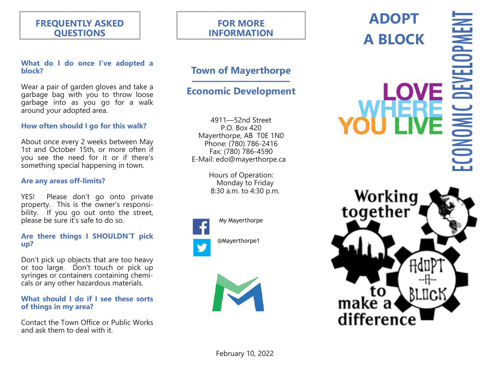# **FREQUENTLY ASKED QUESTIONS**

#### **What do I do once I've adopted a block?**

Wear a pair of garden gloves and take a garbage bag with you to throw loose garbage into as you go for a walk around your adopted area.

#### **How often should I go for this walk?**

About once every 2 weeks between May 1st and October 15th, or more often if you see the need for it or if there's something special happening in town.

#### **Are any areas off-limits?**

YES! Please don't go onto private property. This is the owner's responsibility. If you go out onto the street, please be sure it's safe to do so.

#### **Are there things I SHOULDN'T pick up?**

Don't pick up objects that are too heavy or too large. Don't touch or pick up syringes or containers containing chemicals or any other hazardous materials.

#### **What should I do if I see these sorts of things in my area?**

Contact the Town Office or Public Works and ask them to deal with it.

# **FOR MORE INFORMATION**

# **Town of Mayerthorpe**

#### **—————————— Economic Development**

4911—52nd Street P.O. Box 420 Mayerthorpe, AB T0E 1N0 Phone: (780) 786-2416 Fax: (780) 786-4590 E-Mail: edo@mayerthorpe.ca

> Hours of Operation: Monday to Friday 8:30 a.m. to 4:30 p.m.



My Mayerthorpe

@Mayerthorpe1



# **ADOPT A BLOCK**

# ECONOMIC DEVELOPMEN